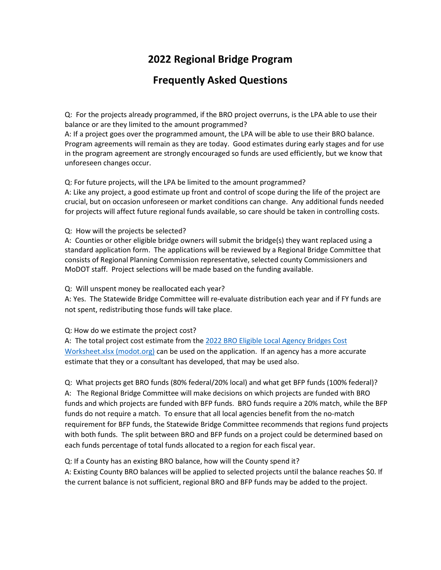# **2022 Regional Bridge Program**

# **Frequently Asked Questions**

Q: For the projects already programmed, if the BRO project overruns, is the LPA able to use their balance or are they limited to the amount programmed?

A: If a project goes over the programmed amount, the LPA will be able to use their BRO balance. Program agreements will remain as they are today. Good estimates during early stages and for use in the program agreement are strongly encouraged so funds are used efficiently, but we know that unforeseen changes occur.

### Q: For future projects, will the LPA be limited to the amount programmed?

A: Like any project, a good estimate up front and control of scope during the life of the project are crucial, but on occasion unforeseen or market conditions can change. Any additional funds needed for projects will affect future regional funds available, so care should be taken in controlling costs.

### Q: How will the projects be selected?

A: Counties or other eligible bridge owners will submit the bridge(s) they want replaced using a standard application form. The applications will be reviewed by a Regional Bridge Committee that consists of Regional Planning Commission representative, selected county Commissioners and MoDOT staff. Project selections will be made based on the funding available.

Q: Will unspent money be reallocated each year?

A: Yes. The Statewide Bridge Committee will re-evaluate distribution each year and if FY funds are not spent, redistributing those funds will take place.

Q: How do we estimate the project cost?

A: The total project cost estimate from the [2022 BRO Eligible Local Agency Bridges Cost](https://www.modot.org/sites/default/files/documents/2022%20BRO%20Eligible%20Local%20Agency%20Bridges%20with%20Construction%20Cost%20and%20GPS%20Non%20FA%20Routes.pdf)  [Worksheet.xlsx \(modot.org\)](https://www.modot.org/sites/default/files/documents/2022%20BRO%20Eligible%20Local%20Agency%20Bridges%20with%20Construction%20Cost%20and%20GPS%20Non%20FA%20Routes.pdf) can be used on the application. If an agency has a more accurate estimate that they or a consultant has developed, that may be used also.

Q: What projects get BRO funds (80% federal/20% local) and what get BFP funds (100% federal)? A: The Regional Bridge Committee will make decisions on which projects are funded with BRO funds and which projects are funded with BFP funds. BRO funds require a 20% match, while the BFP funds do not require a match. To ensure that all local agencies benefit from the no-match requirement for BFP funds, the Statewide Bridge Committee recommends that regions fund projects with both funds. The split between BRO and BFP funds on a project could be determined based on each funds percentage of total funds allocated to a region for each fiscal year.

Q: If a County has an existing BRO balance, how will the County spend it?

A: Existing County BRO balances will be applied to selected projects until the balance reaches \$0. If the current balance is not sufficient, regional BRO and BFP funds may be added to the project.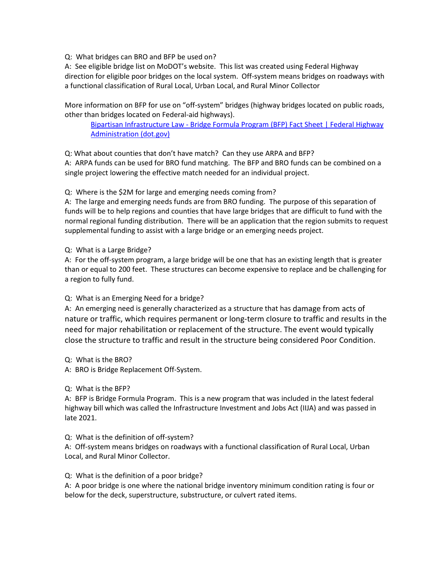Q: What bridges can BRO and BFP be used on?

A: See eligible bridge list on MoDOT's website. This list was created using Federal Highway direction for eligible poor bridges on the local system. Off-system means bridges on roadways with a functional classification of Rural Local, Urban Local, and Rural Minor Collector

More information on BFP for use on "off-system" bridges (highway bridges located on public roads, other than bridges located on Federal-aid highways).

[Bipartisan Infrastructure Law - Bridge Formula Program \(BFP\) Fact Sheet | Federal Highway](https://www.fhwa.dot.gov/bipartisan-infrastructure-law/bfp.cfm)  [Administration \(dot.gov\)](https://www.fhwa.dot.gov/bipartisan-infrastructure-law/bfp.cfm) 

Q: What about counties that don't have match? Can they use ARPA and BFP?

A: ARPA funds can be used for BRO fund matching. The BFP and BRO funds can be combined on a single project lowering the effective match needed for an individual project.

Q: Where is the \$2M for large and emerging needs coming from?

A: The large and emerging needs funds are from BRO funding. The purpose of this separation of funds will be to help regions and counties that have large bridges that are difficult to fund with the normal regional funding distribution. There will be an application that the region submits to request supplemental funding to assist with a large bridge or an emerging needs project.

Q: What is a Large Bridge?

A: For the off-system program, a large bridge will be one that has an existing length that is greater than or equal to 200 feet. These structures can become expensive to replace and be challenging for a region to fully fund.

# Q: What is an Emerging Need for a bridge?

A: An emerging need is generally characterized as a structure that has damage from acts of nature or traffic, which requires permanent or long-term closure to traffic and results in the need for major rehabilitation or replacement of the structure. The event would typically close the structure to traffic and result in the structure being considered Poor Condition.

Q: What is the BRO?

A: BRO is Bridge Replacement Off-System.

#### Q: What is the BFP?

A: BFP is Bridge Formula Program. This is a new program that was included in the latest federal highway bill which was called the Infrastructure Investment and Jobs Act (IIJA) and was passed in late 2021.

#### Q: What is the definition of off-system?

A: Off-system means bridges on roadways with a functional classification of Rural Local, Urban Local, and Rural Minor Collector.

#### Q: What is the definition of a poor bridge?

A: A poor bridge is one where the national bridge inventory minimum condition rating is four or below for the deck, superstructure, substructure, or culvert rated items.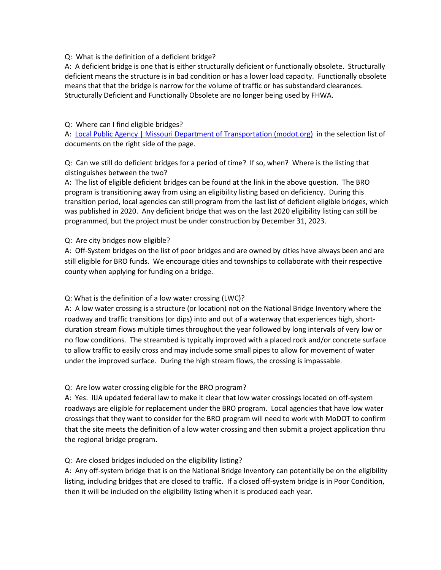#### Q: What is the definition of a deficient bridge?

A: A deficient bridge is one that is either structurally deficient or functionally obsolete. Structurally deficient means the structure is in bad condition or has a lower load capacity. Functionally obsolete means that that the bridge is narrow for the volume of traffic or has substandard clearances. Structurally Deficient and Functionally Obsolete are no longer being used by FHWA.

#### Q: Where can I find eligible bridges?

A: [Local Public Agency | Missouri Department of Transportation \(modot.org\)](https://www.modot.org/local-public-agency) in the selection list of documents on the right side of the page.

## Q: Can we still do deficient bridges for a period of time? If so, when? Where is the listing that distinguishes between the two?

A: The list of eligible deficient bridges can be found at the link in the above question. The BRO program is transitioning away from using an eligibility listing based on deficiency. During this transition period, local agencies can still program from the last list of deficient eligible bridges, which was published in 2020. Any deficient bridge that was on the last 2020 eligibility listing can still be programmed, but the project must be under construction by December 31, 2023.

#### Q: Are city bridges now eligible?

A: Off-System bridges on the list of poor bridges and are owned by cities have always been and are still eligible for BRO funds. We encourage cities and townships to collaborate with their respective county when applying for funding on a bridge.

# Q: What is the definition of a low water crossing (LWC)?

A: A low water crossing is a structure (or location) not on the National Bridge Inventory where the roadway and traffic transitions (or dips) into and out of a waterway that experiences high, shortduration stream flows multiple times throughout the year followed by long intervals of very low or no flow conditions. The streambed is typically improved with a placed rock and/or concrete surface to allow traffic to easily cross and may include some small pipes to allow for movement of water under the improved surface. During the high stream flows, the crossing is impassable.

# Q: Are low water crossing eligible for the BRO program?

A: Yes. IIJA updated federal law to make it clear that low water crossings located on off-system roadways are eligible for replacement under the BRO program. Local agencies that have low water crossings that they want to consider for the BRO program will need to work with MoDOT to confirm that the site meets the definition of a low water crossing and then submit a project application thru the regional bridge program.

# Q: Are closed bridges included on the eligibility listing?

A: Any off-system bridge that is on the National Bridge Inventory can potentially be on the eligibility listing, including bridges that are closed to traffic. If a closed off-system bridge is in Poor Condition, then it will be included on the eligibility listing when it is produced each year.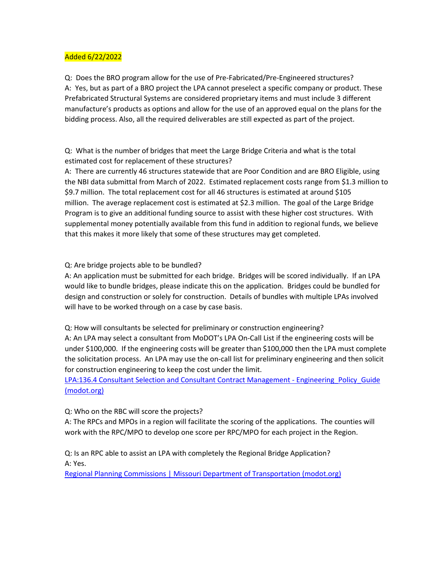## Added 6/22/2022

Q: Does the BRO program allow for the use of Pre-Fabricated/Pre-Engineered structures? A: Yes, but as part of a BRO project the LPA cannot preselect a specific company or product. These Prefabricated Structural Systems are considered proprietary items and must include 3 different manufacture's products as options and allow for the use of an approved equal on the plans for the bidding process. Also, all the required deliverables are still expected as part of the project.

Q: What is the number of bridges that meet the Large Bridge Criteria and what is the total estimated cost for replacement of these structures?

A: There are currently 46 structures statewide that are Poor Condition and are BRO Eligible, using the NBI data submittal from March of 2022. Estimated replacement costs range from \$1.3 million to \$9.7 million. The total replacement cost for all 46 structures is estimated at around \$105 million. The average replacement cost is estimated at \$2.3 million. The goal of the Large Bridge Program is to give an additional funding source to assist with these higher cost structures. With supplemental money potentially available from this fund in addition to regional funds, we believe that this makes it more likely that some of these structures may get completed.

#### Q: Are bridge projects able to be bundled?

A: An application must be submitted for each bridge. Bridges will be scored individually. If an LPA would like to bundle bridges, please indicate this on the application. Bridges could be bundled for design and construction or solely for construction. Details of bundles with multiple LPAs involved will have to be worked through on a case by case basis.

Q: How will consultants be selected for preliminary or construction engineering?

A: An LPA may select a consultant from MoDOT's LPA On-Call List if the engineering costs will be under \$100,000. If the engineering costs will be greater than \$100,000 then the LPA must complete the solicitation process. An LPA may use the on-call list for preliminary engineering and then solicit for construction engineering to keep the cost under the limit.

LPA:136.4 Consultant Selection and Consultant Contract Management - Engineering Policy Guide [\(modot.org\)](https://epg.modot.org/index.php/LPA:136.4_Consultant_Selection_and_Consultant_Contract_Management)

#### Q: Who on the RBC will score the projects?

A: The RPCs and MPOs in a region will facilitate the scoring of the applications. The counties will work with the RPC/MPO to develop one score per RPC/MPO for each project in the Region.

Q: Is an RPC able to assist an LPA with completely the Regional Bridge Application? A: Yes.

[Regional Planning Commissions | Missouri Department of Transportation \(modot.org\)](https://www.modot.org/regional-planning-commissions)